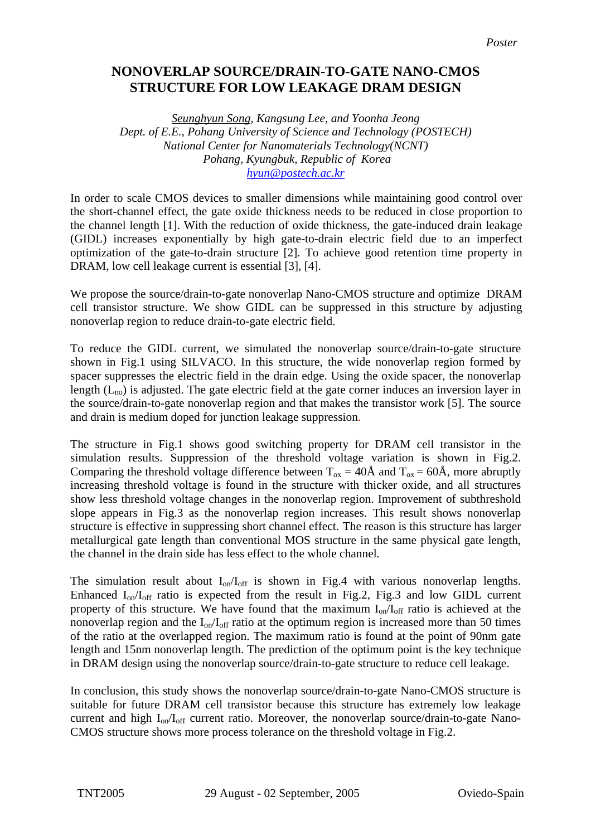## **NONOVERLAP SOURCE/DRAIN-TO-GATE NANO-CMOS STRUCTURE FOR LOW LEAKAGE DRAM DESIGN**

*Seunghyun Song, Kangsung Lee, and Yoonha Jeong Dept. of E.E., Pohang University of Science and Technology (POSTECH) National Center for Nanomaterials Technology(NCNT) Pohang, Kyungbuk, Republic of Korea [hyun@postech.ac.kr](mailto:hyun@postech.ac.krl)*

In order to scale CMOS devices to smaller dimensions while maintaining good control over the short-channel effect, the gate oxide thickness needs to be reduced in close proportion to the channel length [1]. With the reduction of oxide thickness, the gate-induced drain leakage (GIDL) increases exponentially by high gate-to-drain electric field due to an imperfect optimization of the gate-to-drain structure [2]. To achieve good retention time property in DRAM, low cell leakage current is essential [3], [4].

We propose the source/drain-to-gate nonoverlap Nano-CMOS structure and optimize DRAM cell transistor structure. We show GIDL can be suppressed in this structure by adjusting nonoverlap region to reduce drain-to-gate electric field.

To reduce the GIDL current, we simulated the nonoverlap source/drain-to-gate structure shown in Fig.1 using SILVACO. In this structure, the wide nonoverlap region formed by spacer suppresses the electric field in the drain edge. Using the oxide spacer, the nonoverlap length  $(L_{no})$  is adjusted. The gate electric field at the gate corner induces an inversion layer in the source/drain-to-gate nonoverlap region and that makes the transistor work [5]. The source and drain is medium doped for junction leakage suppression.

The structure in Fig.1 shows good switching property for DRAM cell transistor in the simulation results. Suppression of the threshold voltage variation is shown in Fig.2. Comparing the threshold voltage difference between  $T_{ox} = 40\text{\AA}$  and  $T_{ox} = 60\text{\AA}$ , more abruptly increasing threshold voltage is found in the structure with thicker oxide, and all structures show less threshold voltage changes in the nonoverlap region. Improvement of subthreshold slope appears in Fig.3 as the nonoverlap region increases. This result shows nonoverlap structure is effective in suppressing short channel effect. The reason is this structure has larger metallurgical gate length than conventional MOS structure in the same physical gate length, the channel in the drain side has less effect to the whole channel*.* 

The simulation result about  $I_{on}/I_{off}$  is shown in Fig.4 with various nonoverlap lengths. Enhanced  $I_{on}/I_{off}$  ratio is expected from the result in Fig.2, Fig.3 and low GIDL current property of this structure. We have found that the maximum  $I_{on}/I_{off}$  ratio is achieved at the nonoverlap region and the  $I_{on}/I_{off}$  ratio at the optimum region is increased more than 50 times of the ratio at the overlapped region. The maximum ratio is found at the point of 90nm gate length and 15nm nonoverlap length. The prediction of the optimum point is the key technique in DRAM design using the nonoverlap source/drain-to-gate structure to reduce cell leakage.

In conclusion, this study shows the nonoverlap source/drain-to-gate Nano-CMOS structure is suitable for future DRAM cell transistor because this structure has extremely low leakage current and high  $I_{on}/I_{off}$  current ratio. Moreover, the nonoverlap source/drain-to-gate Nano-CMOS structure shows more process tolerance on the threshold voltage in Fig.2.